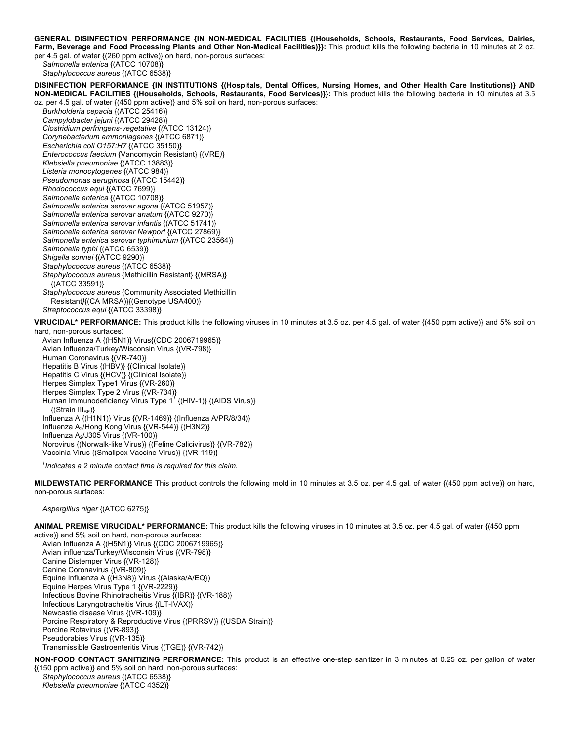**GENERAL DISINFECTION PERFORMANCE {IN NON-MEDICAL FACILITIES {(Households, Schools, Restaurants, Food Services, Dairies, Farm, Beverage and Food Processing Plants and Other Non-Medical Facilities)}}:** This product kills the following bacteria in 10 minutes at 2 oz.

per 4.5 gal. of water {(260 ppm active)} on hard, non-porous surfaces: *Salmonella enterica* {(ATCC 10708)}

*Staphylococcus aureus* {(ATCC 6538)}

**DISINFECTION PERFORMANCE {IN INSTITUTIONS {(Hospitals, Dental Offices, Nursing Homes, and Other Health Care Institutions)} AND NON-MEDICAL FACILITIES {(Households, Schools, Restaurants, Food Services)}}:** This product kills the following bacteria in 10 minutes at 3.5 oz. per 4.5 gal. of water {(450 ppm active)} and 5% soil on hard, non-porous surfaces:

*Burkholderia cepacia* {(ATCC 25416)} *Campylobacter jejuni* {(ATCC 29428)} *Clostridium perfringens-vegetative* {*(*ATCC 13124)} *Corynebacterium ammoniagenes* {(ATCC 6871)} *Escherichia coli O157:H7* {(ATCC 35150)} *Enterococcus faecium* {Vancomycin Resistant} {(VRE*)*} *Klebsiella pneumoniae* {(ATCC 13883)} *Listeria monocytogenes* {(ATCC 984)} *Pseudomonas aeruginosa* {(ATCC 15442)} *Rhodococcus equi* {(ATCC 7699)} *Salmonella enterica* {(ATCC 10708)} *Salmonella enterica serovar agona* {(ATCC 51957)} *Salmonella enterica serovar anatum* {(ATCC 9270)} *Salmonella enterica serovar infantis* {(ATCC 51741)} *Salmonella enterica serovar Newport* {(ATCC 27869)} *Salmonella enterica serovar typhimurium* {(ATCC 23564)} *Salmonella typhi* {(ATCC 6539)} *Shigella sonnei* {(ATCC 9290)} *Staphylococcus aureus* {(ATCC 6538)} *Staphylococcus aureus* {Methicillin Resistant} {(MRSA)} {(ATCC 33591)}

*Staphylococcus aureus* {Community Associated Methicillin Resistant*}*{(CA MRSA)}{(Genotype USA400)} *Streptococcus equi* {(ATCC 33398)}

**VIRUCIDAL\* PERFORMANCE:** This product kills the following viruses in 10 minutes at 3.5 oz. per 4.5 gal. of water {(450 ppm active)} and 5% soil on hard, non-porous surfaces:

Avian Influenza A {(H5N1)} Virus{(CDC 2006719965)} Avian Influenza/Turkey/Wisconsin Virus {(VR-798)} Human Coronavirus {(VR-740)} Hepatitis B Virus {(HBV)} {(Clinical Isolate)} Hepatitis C Virus {(HCV)} {(Clinical Isolate)} Herpes Simplex Type1 Virus {(VR-260)} Herpes Simplex Type 2 Virus {(VR-734)} Human Immunodeficiency Virus Type 1*‡* {(HIV-1)} {(AIDS Virus)}  $\{(\text{Strain III}_{RF})\}$ Influenza A {(H1N1)} Virus {(VR-1469)} {(Influenza A/PR/8/34)} Influenza A<sub>2</sub>/Hong Kong Virus {(VR-544)} {(H3N2)} Influenza  $A_2/J305$  Virus  $\{(VR-100)\}$ Norovirus {(Norwalk-like Virus)} {(Feline Calicivirus)} {(VR-782)} Vaccinia Virus {(Smallpox Vaccine Virus)} {(VR-119)}

*‡ Indicates a 2 minute contact time is required for this claim.*

**MILDEWSTATIC PERFORMANCE** This product controls the following mold in 10 minutes at 3.5 oz. per 4.5 gal. of water {(450 ppm active)} on hard, non-porous surfaces:

*Aspergillus niger* {(ATCC 6275)}

**ANIMAL PREMISE VIRUCIDAL\* PERFORMANCE:** This product kills the following viruses in 10 minutes at 3.5 oz. per 4.5 gal. of water {(450 ppm

active)} and 5% soil on hard, non-porous surfaces: Avian Influenza A {(H5N1)} Virus {(CDC 2006719965)} Avian influenza/Turkey/Wisconsin Virus {(VR-798)} Canine Distemper Virus {(VR-128)} Canine Coronavirus {(VR-809)} Equine Influenza A {(H3N8)} Virus {(Alaska/A/EQ}) Equine Herpes Virus Type 1 {(VR-2229)} Infectious Bovine Rhinotracheitis Virus {(IBR)} {(VR-188)} Infectious Laryngotracheitis Virus {(LT-IVAX)} Newcastle disease Virus {(VR-109)} Porcine Respiratory & Reproductive Virus {(PRRSV)} {(USDA Strain)} Porcine Rotavirus {(VR-893)} Pseudorabies Virus {(VR-135)} Transmissible Gastroenteritis Virus {(TGE)} {(VR-742)}

**NON-FOOD CONTACT SANITIZING PERFORMANCE:** This product is an effective one-step sanitizer in 3 minutes at 0.25 oz. per gallon of water {(150 ppm active)} and 5% soil on hard, non-porous surfaces:

*Staphylococcus aureus* {(ATCC 6538)} *Klebsiella pneumoniae* {(ATCC 4352)}